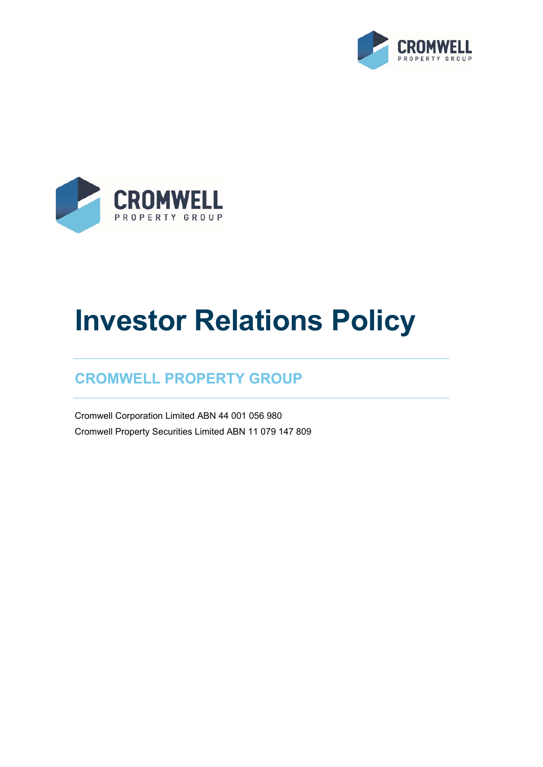



# **Investor Relations Policy**

# **CROMWELL PROPERTY GROUP**

Cromwell Corporation Limited ABN 44 001 056 980 Cromwell Property Securities Limited ABN 11 079 147 809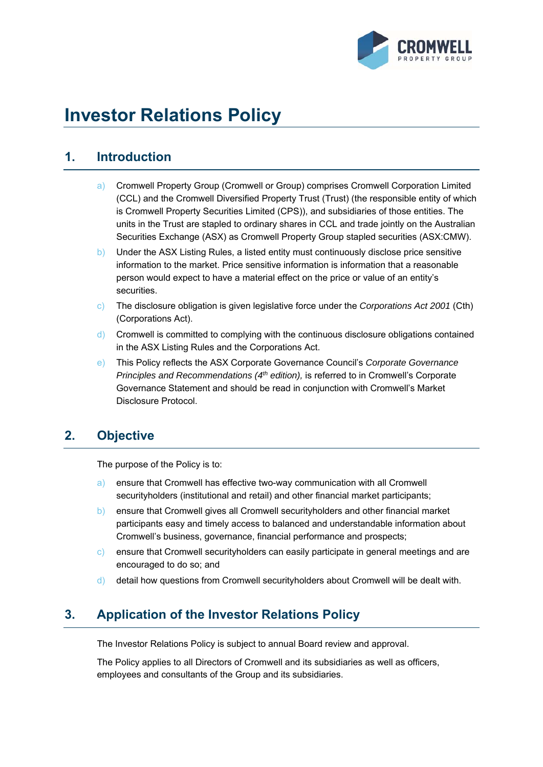

# **Investor Relations Policy**

# **1. Introduction**

- a) Cromwell Property Group (Cromwell or Group) comprises Cromwell Corporation Limited (CCL) and the Cromwell Diversified Property Trust (Trust) (the responsible entity of which is Cromwell Property Securities Limited (CPS)), and subsidiaries of those entities. The units in the Trust are stapled to ordinary shares in CCL and trade jointly on the Australian Securities Exchange (ASX) as Cromwell Property Group stapled securities (ASX:CMW).
- b) Under the ASX Listing Rules, a listed entity must continuously disclose price sensitive information to the market. Price sensitive information is information that a reasonable person would expect to have a material effect on the price or value of an entity's securities.
- c) The disclosure obligation is given legislative force under the *Corporations Act 2001* (Cth) (Corporations Act).
- d) Cromwell is committed to complying with the continuous disclosure obligations contained in the ASX Listing Rules and the Corporations Act.
- e) This Policy reflects the ASX Corporate Governance Council's *Corporate Governance Principles and Recommendations (4th edition),* is referred to in Cromwell's Corporate Governance Statement and should be read in conjunction with Cromwell's Market Disclosure Protocol.

# **2. Objective**

The purpose of the Policy is to:

- a) ensure that Cromwell has effective two-way communication with all Cromwell securityholders (institutional and retail) and other financial market participants;
- b) ensure that Cromwell gives all Cromwell securityholders and other financial market participants easy and timely access to balanced and understandable information about Cromwell's business, governance, financial performance and prospects;
- c) ensure that Cromwell securityholders can easily participate in general meetings and are encouraged to do so; and
- d) detail how questions from Cromwell securityholders about Cromwell will be dealt with.

# **3. Application of the Investor Relations Policy**

The Investor Relations Policy is subject to annual Board review and approval.

The Policy applies to all Directors of Cromwell and its subsidiaries as well as officers, employees and consultants of the Group and its subsidiaries.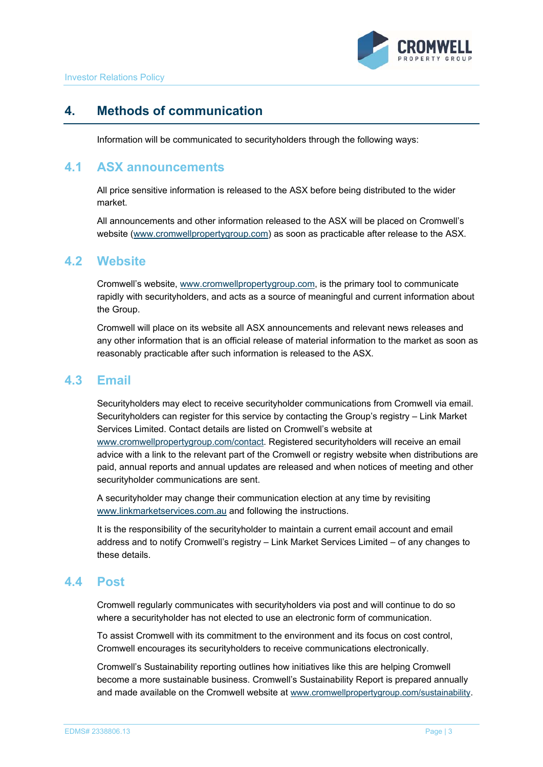

# **4. Methods of communication**

Information will be communicated to securityholders through the following ways:

#### **4.1 ASX announcements**

All price sensitive information is released to the ASX before being distributed to the wider market.

All announcements and other information released to the ASX will be placed on Cromwell's website (www.cromwellpropertygroup.com) as soon as practicable after release to the ASX.

#### **4.2 Website**

Cromwell's website, www.cromwellpropertygroup.com, is the primary tool to communicate rapidly with securityholders, and acts as a source of meaningful and current information about the Group.

Cromwell will place on its website all ASX announcements and relevant news releases and any other information that is an official release of material information to the market as soon as reasonably practicable after such information is released to the ASX.

#### **4.3 Email**

Securityholders may elect to receive securityholder communications from Cromwell via email. Securityholders can register for this service by contacting the Group's registry – Link Market Services Limited. Contact details are listed on Cromwell's website at www.cromwellpropertygroup.com/contact. Registered securityholders will receive an email advice with a link to the relevant part of the Cromwell or registry website when distributions are paid, annual reports and annual updates are released and when notices of meeting and other securityholder communications are sent.

A securityholder may change their communication election at any time by revisiting www.linkmarketservices.com.au and following the instructions.

It is the responsibility of the securityholder to maintain a current email account and email address and to notify Cromwell's registry – Link Market Services Limited – of any changes to these details.

#### **4.4 Post**

Cromwell regularly communicates with securityholders via post and will continue to do so where a securityholder has not elected to use an electronic form of communication.

To assist Cromwell with its commitment to the environment and its focus on cost control, Cromwell encourages its securityholders to receive communications electronically.

Cromwell's Sustainability reporting outlines how initiatives like this are helping Cromwell become a more sustainable business. Cromwell's Sustainability Report is prepared annually and made available on the Cromwell website at www.cromwellpropertygroup.com/sustainability.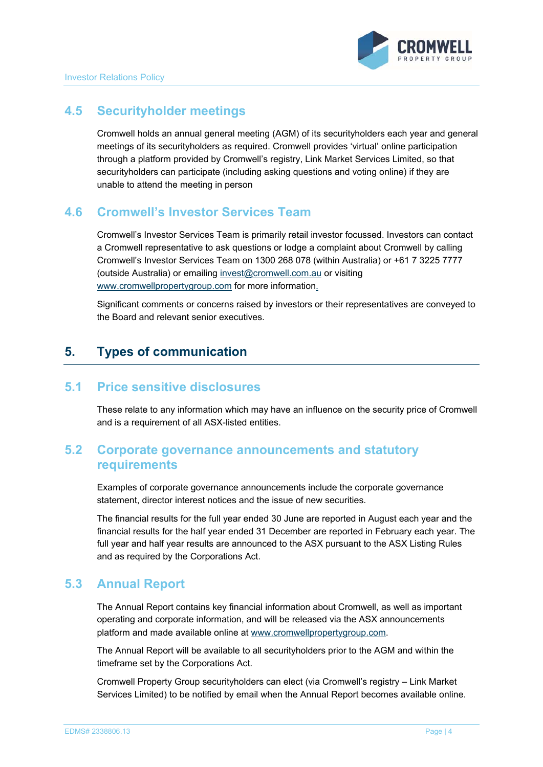#### **4.5 Securityholder meetings**

Cromwell holds an annual general meeting (AGM) of its securityholders each year and general meetings of its securityholders as required. Cromwell provides 'virtual' online participation through a platform provided by Cromwell's registry, Link Market Services Limited, so that securityholders can participate (including asking questions and voting online) if they are unable to attend the meeting in person

#### **4.6 Cromwell's Investor Services Team**

Cromwell's Investor Services Team is primarily retail investor focussed. Investors can contact a Cromwell representative to ask questions or lodge a complaint about Cromwell by calling Cromwell's Investor Services Team on 1300 268 078 (within Australia) or +61 7 3225 7777 (outside Australia) or emailing invest@cromwell.com.au or visiting www.cromwellpropertygroup.com for more information.

Significant comments or concerns raised by investors or their representatives are conveyed to the Board and relevant senior executives.

# **5. Types of communication**

#### **5.1 Price sensitive disclosures**

These relate to any information which may have an influence on the security price of Cromwell and is a requirement of all ASX-listed entities.

#### **5.2 Corporate governance announcements and statutory requirements**

Examples of corporate governance announcements include the corporate governance statement, director interest notices and the issue of new securities.

The financial results for the full year ended 30 June are reported in August each year and the financial results for the half year ended 31 December are reported in February each year. The full year and half year results are announced to the ASX pursuant to the ASX Listing Rules and as required by the Corporations Act.

#### **5.3 Annual Report**

The Annual Report contains key financial information about Cromwell, as well as important operating and corporate information, and will be released via the ASX announcements platform and made available online at www.cromwellpropertygroup.com.

The Annual Report will be available to all securityholders prior to the AGM and within the timeframe set by the Corporations Act.

Cromwell Property Group securityholders can elect (via Cromwell's registry – Link Market Services Limited) to be notified by email when the Annual Report becomes available online.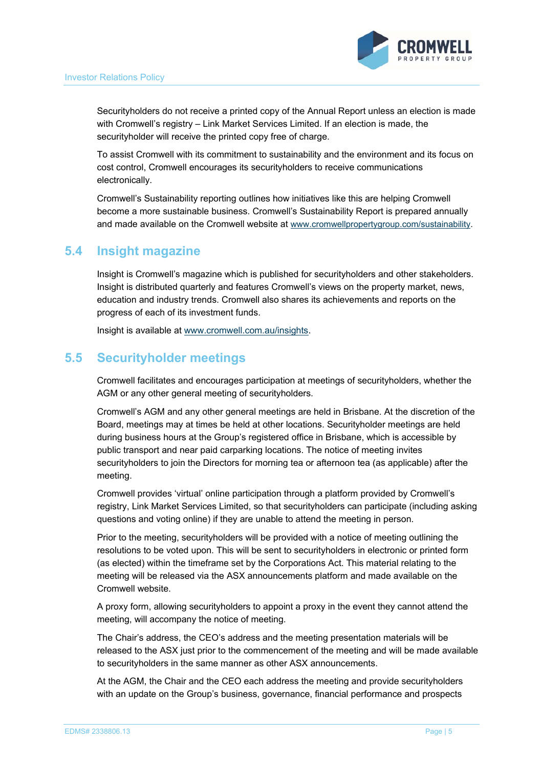

Securityholders do not receive a printed copy of the Annual Report unless an election is made with Cromwell's registry – Link Market Services Limited. If an election is made, the securityholder will receive the printed copy free of charge.

To assist Cromwell with its commitment to sustainability and the environment and its focus on cost control, Cromwell encourages its securityholders to receive communications electronically.

Cromwell's Sustainability reporting outlines how initiatives like this are helping Cromwell become a more sustainable business. Cromwell's Sustainability Report is prepared annually and made available on the Cromwell website at www.cromwellpropertygroup.com/sustainability.

#### **5.4 Insight magazine**

Insight is Cromwell's magazine which is published for securityholders and other stakeholders. Insight is distributed quarterly and features Cromwell's views on the property market, news, education and industry trends. Cromwell also shares its achievements and reports on the progress of each of its investment funds.

Insight is available at www.cromwell.com.au/insights.

#### **5.5 Securityholder meetings**

Cromwell facilitates and encourages participation at meetings of securityholders, whether the AGM or any other general meeting of securityholders.

Cromwell's AGM and any other general meetings are held in Brisbane. At the discretion of the Board, meetings may at times be held at other locations. Securityholder meetings are held during business hours at the Group's registered office in Brisbane, which is accessible by public transport and near paid carparking locations. The notice of meeting invites securityholders to join the Directors for morning tea or afternoon tea (as applicable) after the meeting.

Cromwell provides 'virtual' online participation through a platform provided by Cromwell's registry, Link Market Services Limited, so that securityholders can participate (including asking questions and voting online) if they are unable to attend the meeting in person.

Prior to the meeting, securityholders will be provided with a notice of meeting outlining the resolutions to be voted upon. This will be sent to securityholders in electronic or printed form (as elected) within the timeframe set by the Corporations Act. This material relating to the meeting will be released via the ASX announcements platform and made available on the Cromwell website.

A proxy form, allowing securityholders to appoint a proxy in the event they cannot attend the meeting, will accompany the notice of meeting.

The Chair's address, the CEO's address and the meeting presentation materials will be released to the ASX just prior to the commencement of the meeting and will be made available to securityholders in the same manner as other ASX announcements.

At the AGM, the Chair and the CEO each address the meeting and provide securityholders with an update on the Group's business, governance, financial performance and prospects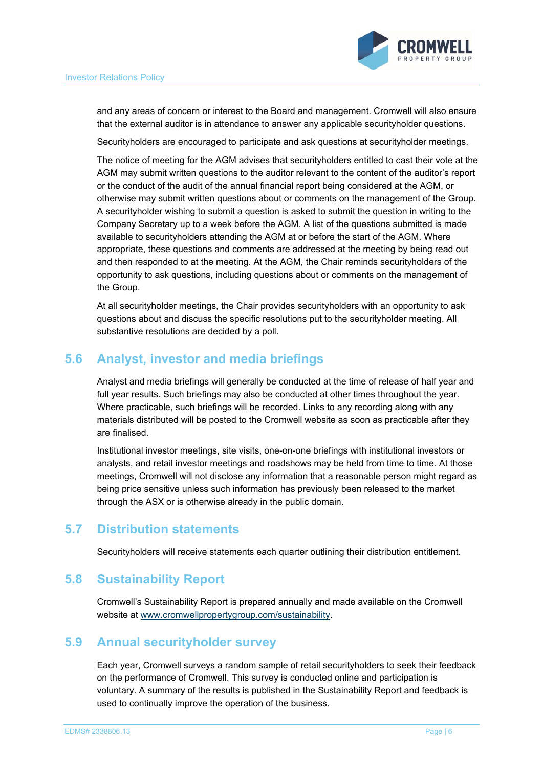

and any areas of concern or interest to the Board and management. Cromwell will also ensure that the external auditor is in attendance to answer any applicable securityholder questions.

Securityholders are encouraged to participate and ask questions at securityholder meetings.

The notice of meeting for the AGM advises that securityholders entitled to cast their vote at the AGM may submit written questions to the auditor relevant to the content of the auditor's report or the conduct of the audit of the annual financial report being considered at the AGM, or otherwise may submit written questions about or comments on the management of the Group. A securityholder wishing to submit a question is asked to submit the question in writing to the Company Secretary up to a week before the AGM. A list of the questions submitted is made available to securityholders attending the AGM at or before the start of the AGM. Where appropriate, these questions and comments are addressed at the meeting by being read out and then responded to at the meeting. At the AGM, the Chair reminds securityholders of the opportunity to ask questions, including questions about or comments on the management of the Group.

At all securityholder meetings, the Chair provides securityholders with an opportunity to ask questions about and discuss the specific resolutions put to the securityholder meeting. All substantive resolutions are decided by a poll.

#### **5.6 Analyst, investor and media briefings**

Analyst and media briefings will generally be conducted at the time of release of half year and full year results. Such briefings may also be conducted at other times throughout the year. Where practicable, such briefings will be recorded. Links to any recording along with any materials distributed will be posted to the Cromwell website as soon as practicable after they are finalised.

Institutional investor meetings, site visits, one-on-one briefings with institutional investors or analysts, and retail investor meetings and roadshows may be held from time to time. At those meetings, Cromwell will not disclose any information that a reasonable person might regard as being price sensitive unless such information has previously been released to the market through the ASX or is otherwise already in the public domain.

#### **5.7 Distribution statements**

Securityholders will receive statements each quarter outlining their distribution entitlement.

#### **5.8 Sustainability Report**

Cromwell's Sustainability Report is prepared annually and made available on the Cromwell website at www.cromwellpropertygroup.com/sustainability.

#### **5.9 Annual securityholder survey**

Each year, Cromwell surveys a random sample of retail securityholders to seek their feedback on the performance of Cromwell. This survey is conducted online and participation is voluntary. A summary of the results is published in the Sustainability Report and feedback is used to continually improve the operation of the business.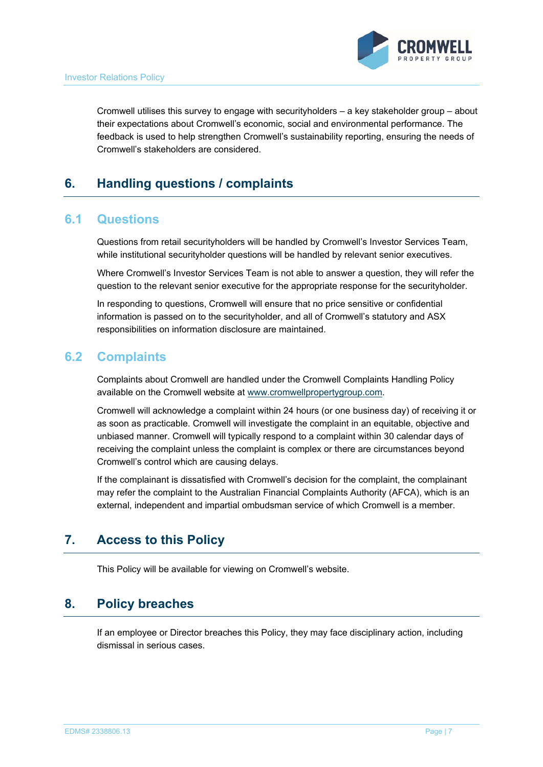

Cromwell utilises this survey to engage with securityholders – a key stakeholder group – about their expectations about Cromwell's economic, social and environmental performance. The feedback is used to help strengthen Cromwell's sustainability reporting, ensuring the needs of Cromwell's stakeholders are considered.

# **6. Handling questions / complaints**

#### **6.1 Questions**

Questions from retail securityholders will be handled by Cromwell's Investor Services Team, while institutional securityholder questions will be handled by relevant senior executives.

Where Cromwell's Investor Services Team is not able to answer a question, they will refer the question to the relevant senior executive for the appropriate response for the securityholder.

In responding to questions, Cromwell will ensure that no price sensitive or confidential information is passed on to the securityholder, and all of Cromwell's statutory and ASX responsibilities on information disclosure are maintained.

#### **6.2 Complaints**

Complaints about Cromwell are handled under the Cromwell Complaints Handling Policy available on the Cromwell website at www.cromwellpropertygroup.com.

Cromwell will acknowledge a complaint within 24 hours (or one business day) of receiving it or as soon as practicable. Cromwell will investigate the complaint in an equitable, objective and unbiased manner. Cromwell will typically respond to a complaint within 30 calendar days of receiving the complaint unless the complaint is complex or there are circumstances beyond Cromwell's control which are causing delays.

If the complainant is dissatisfied with Cromwell's decision for the complaint, the complainant may refer the complaint to the Australian Financial Complaints Authority (AFCA), which is an external, independent and impartial ombudsman service of which Cromwell is a member.

# **7. Access to this Policy**

This Policy will be available for viewing on Cromwell's website.

#### **8. Policy breaches**

If an employee or Director breaches this Policy, they may face disciplinary action, including dismissal in serious cases.